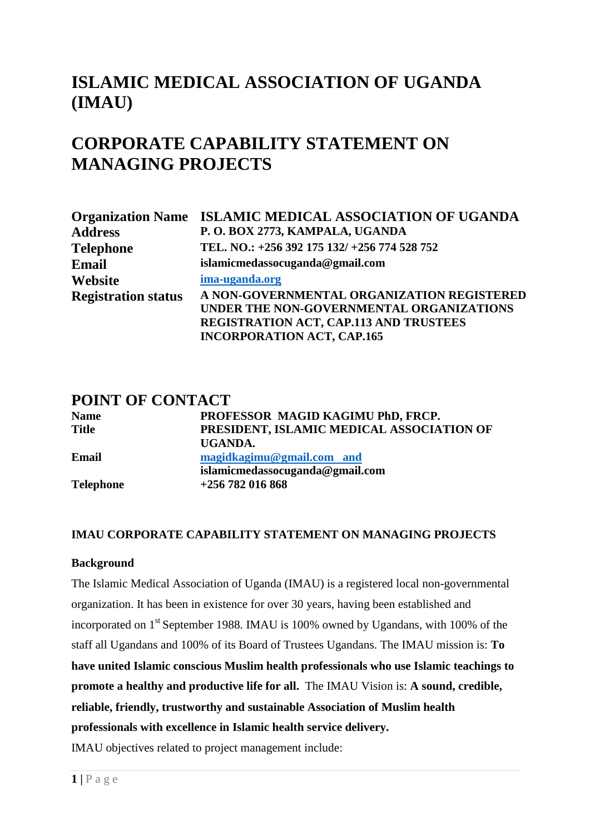# **ISLAMIC MEDICAL ASSOCIATION OF UGANDA (IMAU)**

# **CORPORATE CAPABILITY STATEMENT ON MANAGING PROJECTS**

|                            | <b>Organization Name ISLAMIC MEDICAL ASSOCIATION OF UGANDA</b>                                                                                                               |  |  |  |  |
|----------------------------|------------------------------------------------------------------------------------------------------------------------------------------------------------------------------|--|--|--|--|
| <b>Address</b>             | P.O. BOX 2773, KAMPALA, UGANDA                                                                                                                                               |  |  |  |  |
| <b>Telephone</b>           | TEL. NO.: +256 392 175 132/ +256 774 528 752                                                                                                                                 |  |  |  |  |
| <b>Email</b>               | islamicmedassocuganda@gmail.com                                                                                                                                              |  |  |  |  |
| Website                    | ima-uganda.org                                                                                                                                                               |  |  |  |  |
| <b>Registration status</b> | A NON-GOVERNMENTAL ORGANIZATION REGISTERED<br>UNDER THE NON-GOVERNMENTAL ORGANIZATIONS<br><b>REGISTRATION ACT, CAP.113 AND TRUSTEES</b><br><b>INCORPORATION ACT, CAP.165</b> |  |  |  |  |

## **POINT OF CONTACT**

| <b>Name</b>  | PROFESSOR MAGID KAGIMU PhD, FRCP.         |
|--------------|-------------------------------------------|
| <b>Title</b> | PRESIDENT, ISLAMIC MEDICAL ASSOCIATION OF |
|              | UGANDA.                                   |
| Email        | magidkagimu@gmail.com and                 |
|              | islamicmedassocuganda@gmail.com           |
| Telephone    | $+256$ 782 016 868                        |
|              |                                           |

#### **IMAU CORPORATE CAPABILITY STATEMENT ON MANAGING PROJECTS**

#### **Background**

The Islamic Medical Association of Uganda (IMAU) is a registered local non-governmental organization. It has been in existence for over 30 years, having been established and incorporated on 1<sup>st</sup> September 1988. IMAU is 100% owned by Ugandans, with 100% of the staff all Ugandans and 100% of its Board of Trustees Ugandans. The IMAU mission is: **To have united Islamic conscious Muslim health professionals who use Islamic teachings to promote a healthy and productive life for all.** The IMAU Vision is: **A sound, credible, reliable, friendly, trustworthy and sustainable Association of Muslim health professionals with excellence in Islamic health service delivery.** IMAU objectives related to project management include: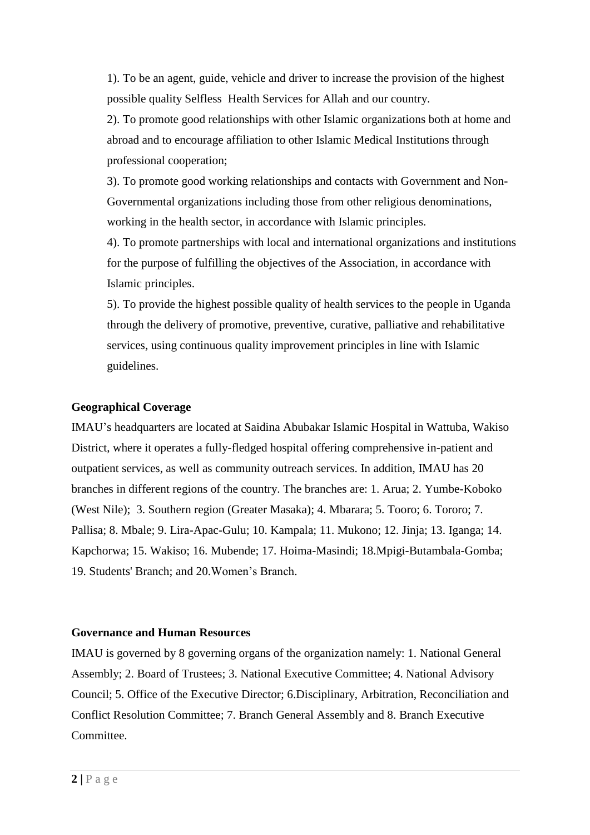1). To be an agent, guide, vehicle and driver to increase the provision of the highest possible quality Selfless Health Services for Allah and our country.

2). To promote good relationships with other Islamic organizations both at home and abroad and to encourage affiliation to other Islamic Medical Institutions through professional cooperation;

3). To promote good working relationships and contacts with Government and Non-Governmental organizations including those from other religious denominations, working in the health sector, in accordance with Islamic principles.

4). To promote partnerships with local and international organizations and institutions for the purpose of fulfilling the objectives of the Association, in accordance with Islamic principles.

5). To provide the highest possible quality of health services to the people in Uganda through the delivery of promotive, preventive, curative, palliative and rehabilitative services, using continuous quality improvement principles in line with Islamic guidelines.

#### **Geographical Coverage**

IMAU's headquarters are located at Saidina Abubakar Islamic Hospital in Wattuba, Wakiso District, where it operates a fully-fledged hospital offering comprehensive in-patient and outpatient services, as well as community outreach services. In addition, IMAU has 20 branches in different regions of the country. The branches are: 1. Arua; 2. Yumbe-Koboko (West Nile); 3. Southern region (Greater Masaka); 4. Mbarara; 5. Tooro; 6. Tororo; 7. Pallisa; 8. Mbale; 9. Lira-Apac-Gulu; 10. Kampala; 11. Mukono; 12. Jinja; 13. Iganga; 14. Kapchorwa; 15. Wakiso; 16. Mubende; 17. Hoima-Masindi; 18.Mpigi-Butambala-Gomba; 19. Students' Branch; and 20.Women's Branch.

#### **Governance and Human Resources**

IMAU is governed by 8 governing organs of the organization namely: 1. National General Assembly; 2. Board of Trustees; 3. National Executive Committee; 4. National Advisory Council; 5. Office of the Executive Director; 6.Disciplinary, Arbitration, Reconciliation and Conflict Resolution Committee; 7. Branch General Assembly and 8. Branch Executive **Committee**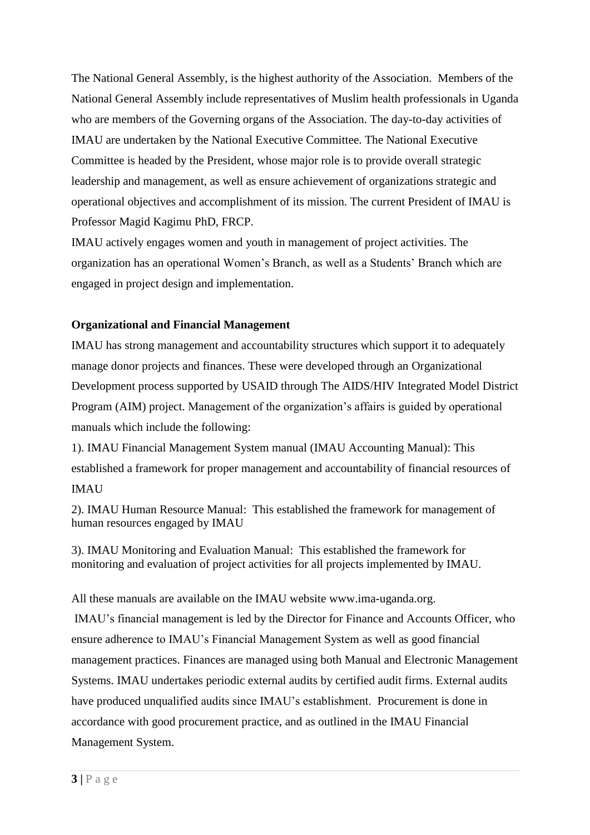The National General Assembly, is the highest authority of the Association. Members of the National General Assembly include representatives of Muslim health professionals in Uganda who are members of the Governing organs of the Association. The day-to-day activities of IMAU are undertaken by the National Executive Committee. The National Executive Committee is headed by the President, whose major role is to provide overall strategic leadership and management, as well as ensure achievement of organizations strategic and operational objectives and accomplishment of its mission. The current President of IMAU is Professor Magid Kagimu PhD, FRCP.

IMAU actively engages women and youth in management of project activities. The organization has an operational Women's Branch, as well as a Students' Branch which are engaged in project design and implementation.

#### **Organizational and Financial Management**

IMAU has strong management and accountability structures which support it to adequately manage donor projects and finances. These were developed through an Organizational Development process supported by USAID through The AIDS/HIV Integrated Model District Program (AIM) project. Management of the organization's affairs is guided by operational manuals which include the following:

1). IMAU Financial Management System manual (IMAU Accounting Manual): This established a framework for proper management and accountability of financial resources of IMAU

2). IMAU Human Resource Manual: This established the framework for management of human resources engaged by IMAU

3). IMAU Monitoring and Evaluation Manual: This established the framework for monitoring and evaluation of project activities for all projects implemented by IMAU.

All these manuals are available on the IMAU website www.ima-uganda.org.

IMAU's financial management is led by the Director for Finance and Accounts Officer, who ensure adherence to IMAU's Financial Management System as well as good financial management practices. Finances are managed using both Manual and Electronic Management Systems. IMAU undertakes periodic external audits by certified audit firms. External audits have produced unqualified audits since IMAU's establishment. Procurement is done in accordance with good procurement practice, and as outlined in the IMAU Financial Management System.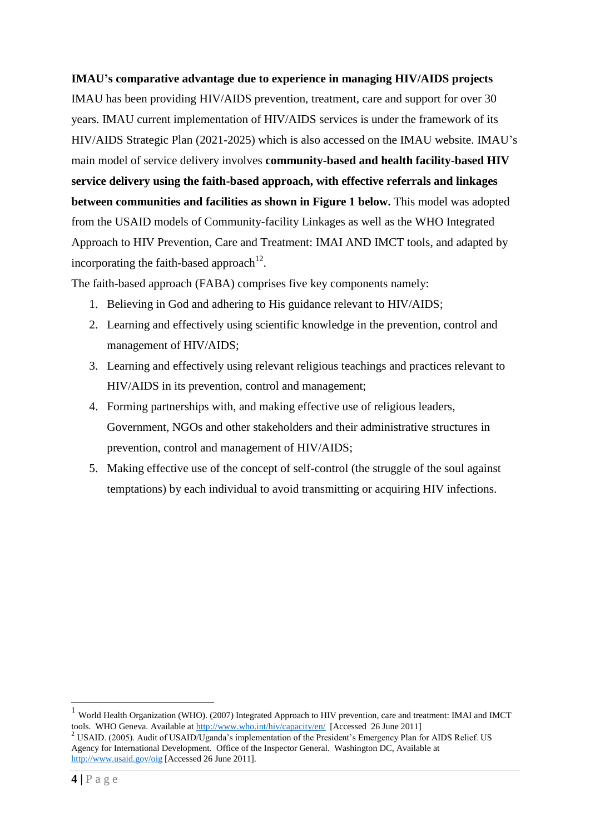#### **IMAU's comparative advantage due to experience in managing HIV/AIDS projects**

IMAU has been providing HIV/AIDS prevention, treatment, care and support for over 30 years. IMAU current implementation of HIV/AIDS services is under the framework of its HIV/AIDS Strategic Plan (2021-2025) which is also accessed on the IMAU website. IMAU's main model of service delivery involves **community-based and health facility-based HIV service delivery using the faith-based approach, with effective referrals and linkages between communities and facilities as shown in Figure 1 below.** This model was adopted from the USAID models of Community-facility Linkages as well as the WHO Integrated Approach to HIV Prevention, Care and Treatment: IMAI AND IMCT tools, and adapted by incorporating the faith-based approach<sup>12</sup>.

The faith-based approach (FABA) comprises five key components namely:

- 1. Believing in God and adhering to His guidance relevant to HIV/AIDS;
- 2. Learning and effectively using scientific knowledge in the prevention, control and management of HIV/AIDS;
- 3. Learning and effectively using relevant religious teachings and practices relevant to HIV/AIDS in its prevention, control and management;
- 4. Forming partnerships with, and making effective use of religious leaders, Government, NGOs and other stakeholders and their administrative structures in prevention, control and management of HIV/AIDS;
- 5. Making effective use of the concept of self-control (the struggle of the soul against temptations) by each individual to avoid transmitting or acquiring HIV infections.

<u>.</u>

<sup>1</sup> World Health Organization (WHO). (2007) Integrated Approach to HIV prevention, care and treatment: IMAI and IMCT tools. WHO Geneva. Available at<http://www.who.int/hiv/capacity/en/>[Accessed 26 June 2011]

<sup>&</sup>lt;sup>2</sup> USAID. (2005). Audit of USAID/Uganda's implementation of the President's Emergency Plan for AIDS Relief. US Agency for International Development. Office of the Inspector General. Washington DC, Available at <http://www.usaid.gov/oig> [Accessed 26 June 2011].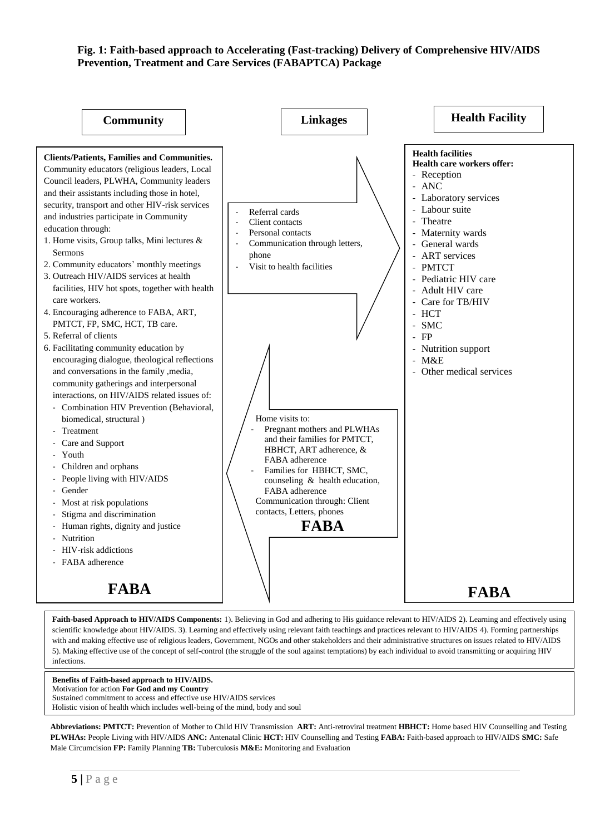#### **Fig. 1: Faith-based approach to Accelerating (Fast-tracking) Delivery of Comprehensive HIV/AIDS Prevention, Treatment and Care Services (FABAPTCA) Package**



Faith-based Approach to HIV/AIDS Components: 1). Believing in God and adhering to His guidance relevant to HIV/AIDS 2). Learning and effectively using scientific knowledge about HIV/AIDS. 3). Learning and effectively using relevant faith teachings and practices relevant to HIV/AIDS 4). Forming partnerships with and making effective use of religious leaders, Government, NGOs and other stakeholders and their administrative structures on issues related to HIV/AIDS 5). Making effective use of the concept of self-control (the struggle of the soul against temptations) by each individual to avoid transmitting or acquiring HIV infections.

**Benefits of Faith-based approach to HIV/AIDS.**

Motivation for action **For God and my Country**

Sustained commitment to access and effective use HIV/AIDS services Holistic vision of health which includes well-being of the mind, body and soul

**Abbreviations: PMTCT:** Prevention of Mother to Child HIV Transmission **ART:** Anti-retroviral treatment **HBHCT:** Home based HIV Counselling and Testing **PLWHAs:** People Living with HIV/AIDS **ANC:** Antenatal Clinic **HCT:** HIV Counselling and Testing **FABA:** Faith-based approach to HIV/AIDS **SMC:** Safe Male Circumcision **FP:** Family Planning **TB:** Tuberculosis **M&E:** Monitoring and Evaluation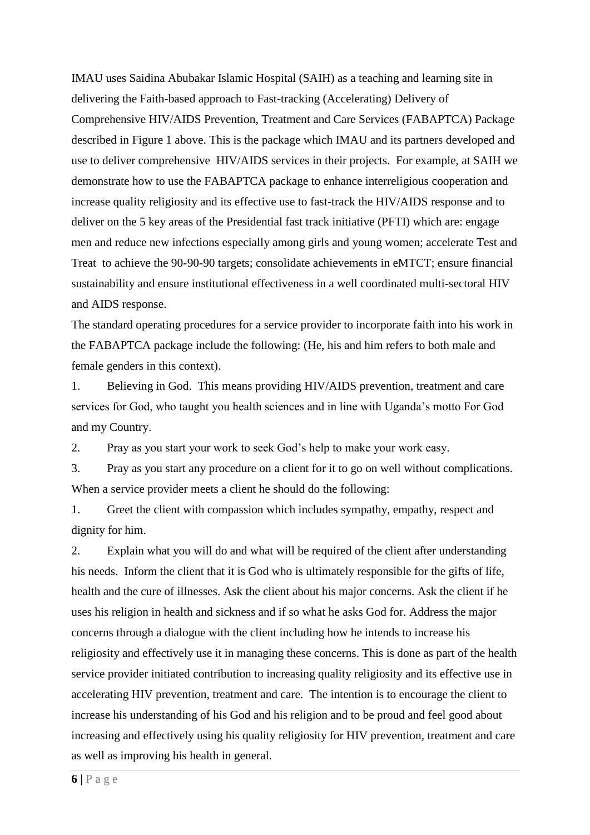IMAU uses Saidina Abubakar Islamic Hospital (SAIH) as a teaching and learning site in delivering the Faith-based approach to Fast-tracking (Accelerating) Delivery of Comprehensive HIV/AIDS Prevention, Treatment and Care Services (FABAPTCA) Package described in Figure 1 above. This is the package which IMAU and its partners developed and use to deliver comprehensive HIV/AIDS services in their projects. For example, at SAIH we demonstrate how to use the FABAPTCA package to enhance interreligious cooperation and increase quality religiosity and its effective use to fast-track the HIV/AIDS response and to deliver on the 5 key areas of the Presidential fast track initiative (PFTI) which are: engage men and reduce new infections especially among girls and young women; accelerate Test and Treat to achieve the 90-90-90 targets; consolidate achievements in eMTCT; ensure financial sustainability and ensure institutional effectiveness in a well coordinated multi-sectoral HIV and AIDS response.

The standard operating procedures for a service provider to incorporate faith into his work in the FABAPTCA package include the following: (He, his and him refers to both male and female genders in this context).

1. Believing in God. This means providing HIV/AIDS prevention, treatment and care services for God, who taught you health sciences and in line with Uganda's motto For God and my Country.

2. Pray as you start your work to seek God's help to make your work easy.

3. Pray as you start any procedure on a client for it to go on well without complications. When a service provider meets a client he should do the following:

1. Greet the client with compassion which includes sympathy, empathy, respect and dignity for him.

2. Explain what you will do and what will be required of the client after understanding his needs. Inform the client that it is God who is ultimately responsible for the gifts of life, health and the cure of illnesses. Ask the client about his major concerns. Ask the client if he uses his religion in health and sickness and if so what he asks God for. Address the major concerns through a dialogue with the client including how he intends to increase his religiosity and effectively use it in managing these concerns. This is done as part of the health service provider initiated contribution to increasing quality religiosity and its effective use in accelerating HIV prevention, treatment and care. The intention is to encourage the client to increase his understanding of his God and his religion and to be proud and feel good about increasing and effectively using his quality religiosity for HIV prevention, treatment and care as well as improving his health in general.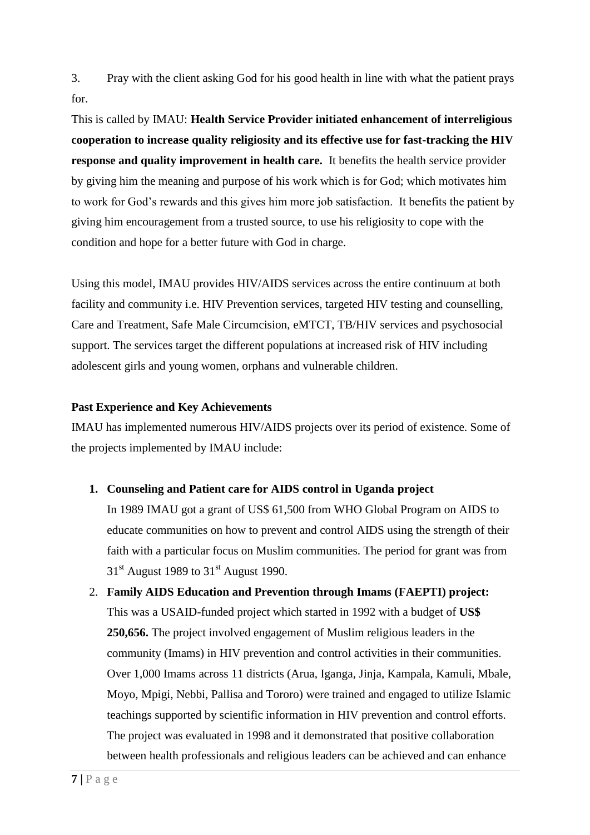3. Pray with the client asking God for his good health in line with what the patient prays for.

This is called by IMAU: **Health Service Provider initiated enhancement of interreligious cooperation to increase quality religiosity and its effective use for fast-tracking the HIV response and quality improvement in health care.** It benefits the health service provider by giving him the meaning and purpose of his work which is for God; which motivates him to work for God's rewards and this gives him more job satisfaction. It benefits the patient by giving him encouragement from a trusted source, to use his religiosity to cope with the condition and hope for a better future with God in charge.

Using this model, IMAU provides HIV/AIDS services across the entire continuum at both facility and community i.e. HIV Prevention services, targeted HIV testing and counselling, Care and Treatment, Safe Male Circumcision, eMTCT, TB/HIV services and psychosocial support. The services target the different populations at increased risk of HIV including adolescent girls and young women, orphans and vulnerable children.

#### **Past Experience and Key Achievements**

IMAU has implemented numerous HIV/AIDS projects over its period of existence. Some of the projects implemented by IMAU include:

#### **1. Counseling and Patient care for AIDS control in Uganda project**

In 1989 IMAU got a grant of US\$ 61,500 from WHO Global Program on AIDS to educate communities on how to prevent and control AIDS using the strength of their faith with a particular focus on Muslim communities. The period for grant was from  $31<sup>st</sup>$  August 1989 to  $31<sup>st</sup>$  August 1990.

## 2. **Family AIDS Education and Prevention through Imams (FAEPTI) project:** This was a USAID-funded project which started in 1992 with a budget of **US\$ 250,656.** The project involved engagement of Muslim religious leaders in the community (Imams) in HIV prevention and control activities in their communities. Over 1,000 Imams across 11 districts (Arua, Iganga, Jinja, Kampala, Kamuli, Mbale, Moyo, Mpigi, Nebbi, Pallisa and Tororo) were trained and engaged to utilize Islamic teachings supported by scientific information in HIV prevention and control efforts. The project was evaluated in 1998 and it demonstrated that positive collaboration between health professionals and religious leaders can be achieved and can enhance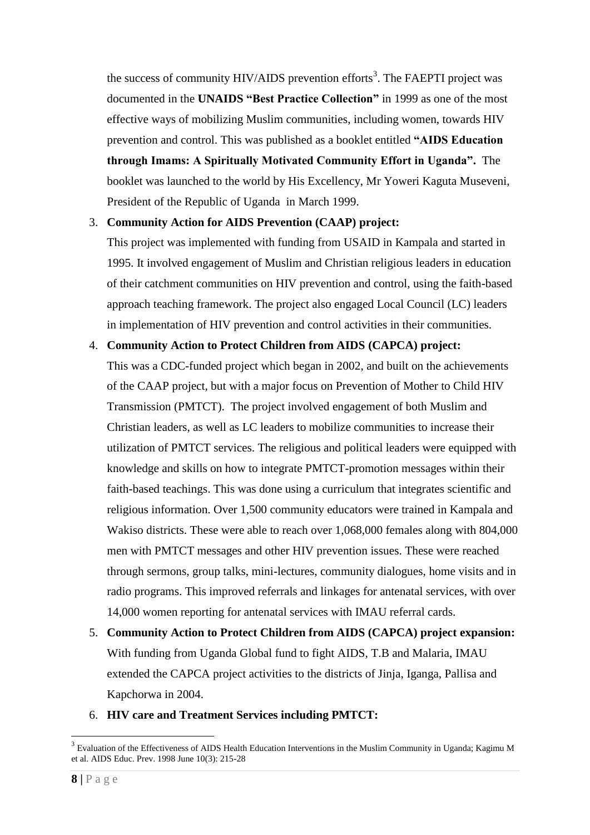the success of community HIV/AIDS prevention efforts<sup>3</sup>. The FAEPTI project was documented in the **UNAIDS "Best Practice Collection"** in 1999 as one of the most effective ways of mobilizing Muslim communities, including women, towards HIV prevention and control. This was published as a booklet entitled **"AIDS Education through Imams: A Spiritually Motivated Community Effort in Uganda".** The booklet was launched to the world by His Excellency, Mr Yoweri Kaguta Museveni, President of the Republic of Uganda in March 1999.

#### 3. **Community Action for AIDS Prevention (CAAP) project:**

This project was implemented with funding from USAID in Kampala and started in 1995. It involved engagement of Muslim and Christian religious leaders in education of their catchment communities on HIV prevention and control, using the faith-based approach teaching framework. The project also engaged Local Council (LC) leaders in implementation of HIV prevention and control activities in their communities.

#### 4. **Community Action to Protect Children from AIDS (CAPCA) project:**

This was a CDC-funded project which began in 2002, and built on the achievements of the CAAP project, but with a major focus on Prevention of Mother to Child HIV Transmission (PMTCT). The project involved engagement of both Muslim and Christian leaders, as well as LC leaders to mobilize communities to increase their utilization of PMTCT services. The religious and political leaders were equipped with knowledge and skills on how to integrate PMTCT-promotion messages within their faith-based teachings. This was done using a curriculum that integrates scientific and religious information. Over 1,500 community educators were trained in Kampala and Wakiso districts. These were able to reach over 1,068,000 females along with 804,000 men with PMTCT messages and other HIV prevention issues. These were reached through sermons, group talks, mini-lectures, community dialogues, home visits and in radio programs. This improved referrals and linkages for antenatal services, with over 14,000 women reporting for antenatal services with IMAU referral cards.

5. **Community Action to Protect Children from AIDS (CAPCA) project expansion:**  With funding from Uganda Global fund to fight AIDS, T.B and Malaria, IMAU extended the CAPCA project activities to the districts of Jinja, Iganga, Pallisa and Kapchorwa in 2004.

#### 6. **HIV care and Treatment Services including PMTCT:**

<u>.</u>

 $3$  Evaluation of the Effectiveness of AIDS Health Education Interventions in the Muslim Community in Uganda; Kagimu M et al. AIDS Educ. Prev. 1998 June 10(3): 215-28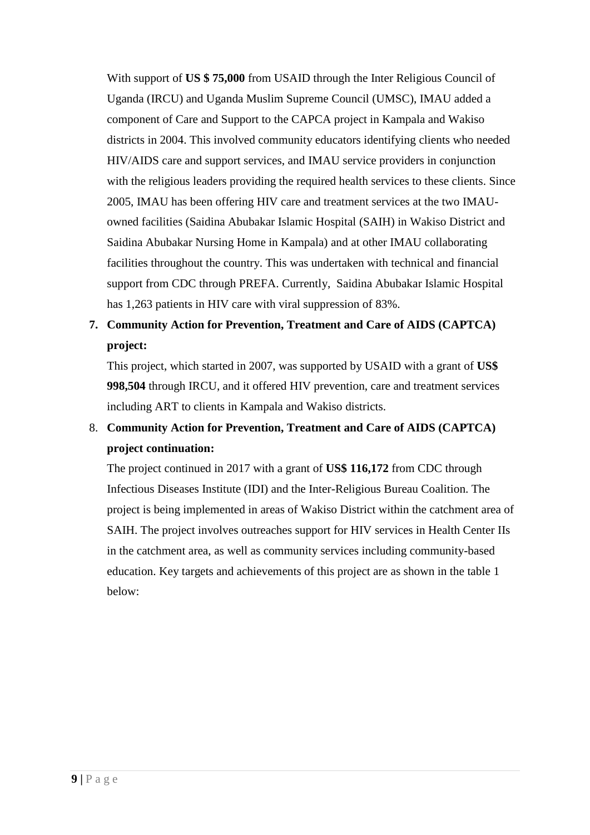With support of **US \$ 75,000** from USAID through the Inter Religious Council of Uganda (IRCU) and Uganda Muslim Supreme Council (UMSC), IMAU added a component of Care and Support to the CAPCA project in Kampala and Wakiso districts in 2004. This involved community educators identifying clients who needed HIV/AIDS care and support services, and IMAU service providers in conjunction with the religious leaders providing the required health services to these clients. Since 2005, IMAU has been offering HIV care and treatment services at the two IMAUowned facilities (Saidina Abubakar Islamic Hospital (SAIH) in Wakiso District and Saidina Abubakar Nursing Home in Kampala) and at other IMAU collaborating facilities throughout the country. This was undertaken with technical and financial support from CDC through PREFA. Currently, Saidina Abubakar Islamic Hospital has 1,263 patients in HIV care with viral suppression of 83%.

## **7. Community Action for Prevention, Treatment and Care of AIDS (CAPTCA) project:**

This project, which started in 2007, was supported by USAID with a grant of **US\$ 998,504** through IRCU, and it offered HIV prevention, care and treatment services including ART to clients in Kampala and Wakiso districts.

## 8. **Community Action for Prevention, Treatment and Care of AIDS (CAPTCA) project continuation:**

The project continued in 2017 with a grant of **US\$ 116,172** from CDC through Infectious Diseases Institute (IDI) and the Inter-Religious Bureau Coalition. The project is being implemented in areas of Wakiso District within the catchment area of SAIH. The project involves outreaches support for HIV services in Health Center IIs in the catchment area, as well as community services including community-based education. Key targets and achievements of this project are as shown in the table 1 below: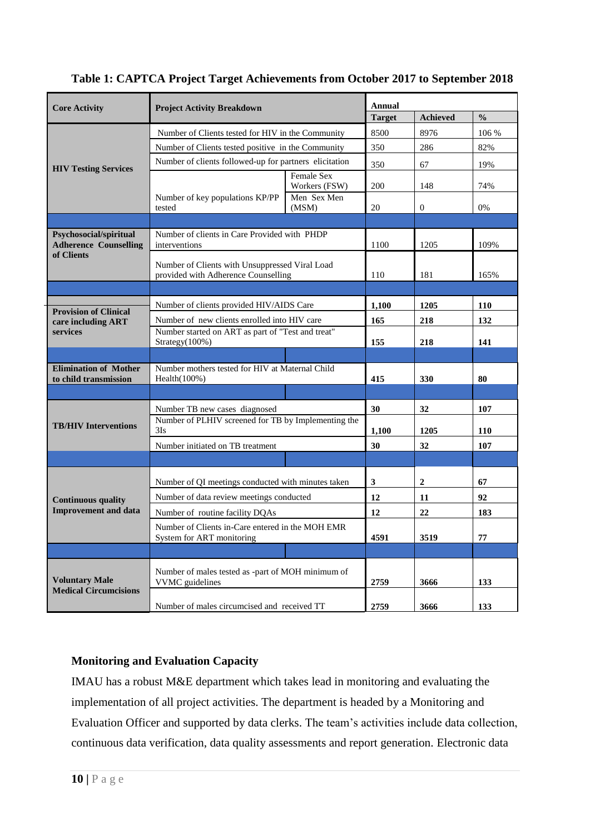| <b>Core Activity</b>                                                 | <b>Project Activity Breakdown</b>                                                     |                                    | <b>Annual</b> |                  |               |
|----------------------------------------------------------------------|---------------------------------------------------------------------------------------|------------------------------------|---------------|------------------|---------------|
|                                                                      |                                                                                       |                                    | <b>Target</b> | Achieved         | $\frac{0}{0}$ |
| <b>HIV Testing Services</b>                                          | Number of Clients tested for HIV in the Community                                     |                                    | 8500          | 8976             | 106 %         |
|                                                                      | Number of Clients tested positive in the Community                                    |                                    | 350           | 286              | 82%           |
|                                                                      | Number of clients followed-up for partners elicitation                                |                                    | 350           | 67               | 19%           |
|                                                                      | Number of key populations KP/PP<br>tested                                             | <b>Female Sex</b><br>Workers (FSW) | 200           | 148              | 74%           |
|                                                                      |                                                                                       | Men Sex Men<br>(MSM)               | 20            | $\mathbf{0}$     | 0%            |
|                                                                      |                                                                                       |                                    |               |                  |               |
| Psychosocial/spiritual<br><b>Adherence Counselling</b><br>of Clients | Number of clients in Care Provided with PHDP<br>interventions                         |                                    | 1100          | 1205             | 109%          |
|                                                                      | Number of Clients with Unsuppressed Viral Load<br>provided with Adherence Counselling |                                    | 110           | 181              | 165%          |
|                                                                      |                                                                                       |                                    |               |                  |               |
| <b>Provision of Clinical</b>                                         | Number of clients provided HIV/AIDS Care                                              |                                    | 1,100         | 1205             | 110           |
| care including ART                                                   | Number of new clients enrolled into HIV care                                          |                                    | 165           | 218              | 132           |
| services                                                             | Number started on ART as part of "Test and treat"<br>Strategy(100%)                   |                                    | 155           | 218              | 141           |
|                                                                      |                                                                                       |                                    |               |                  |               |
| <b>Elimination of Mother</b><br>to child transmission                | Number mothers tested for HIV at Maternal Child<br>Health $(100\%)$                   |                                    | 415           | 330              | 80            |
|                                                                      |                                                                                       |                                    |               |                  |               |
|                                                                      | Number TB new cases diagnosed                                                         |                                    | 30            | 32               | 107           |
| <b>TB/HIV Interventions</b>                                          | Number of PLHIV screened for TB by Implementing the                                   |                                    |               |                  |               |
|                                                                      | 3Is                                                                                   |                                    | 1,100         | 1205             | 110           |
|                                                                      | Number initiated on TB treatment                                                      |                                    | 30            | 32               | 107           |
|                                                                      |                                                                                       |                                    |               |                  |               |
| <b>Continuous quality</b><br><b>Improvement and data</b>             | Number of QI meetings conducted with minutes taken                                    |                                    | 3             | $\boldsymbol{2}$ | 67            |
|                                                                      | Number of data review meetings conducted                                              |                                    | 12            | 11               | 92            |
|                                                                      | Number of routine facility DQAs                                                       |                                    | 12            | 22               | 183           |
|                                                                      | Number of Clients in-Care entered in the MOH EMR<br>System for ART monitoring         |                                    | 4591          | 3519             | 77            |
|                                                                      |                                                                                       |                                    |               |                  |               |
| <b>Voluntary Male</b><br><b>Medical Circumcisions</b>                |                                                                                       |                                    |               |                  |               |
|                                                                      | Number of males tested as -part of MOH minimum of<br>VVMC guidelines                  |                                    | 2759          | 3666             | 133           |
|                                                                      | Number of males circumcised and received TT                                           |                                    | 2759          | 3666             | 133           |

### **Monitoring and Evaluation Capacity**

IMAU has a robust M&E department which takes lead in monitoring and evaluating the implementation of all project activities. The department is headed by a Monitoring and Evaluation Officer and supported by data clerks. The team's activities include data collection, continuous data verification, data quality assessments and report generation. Electronic data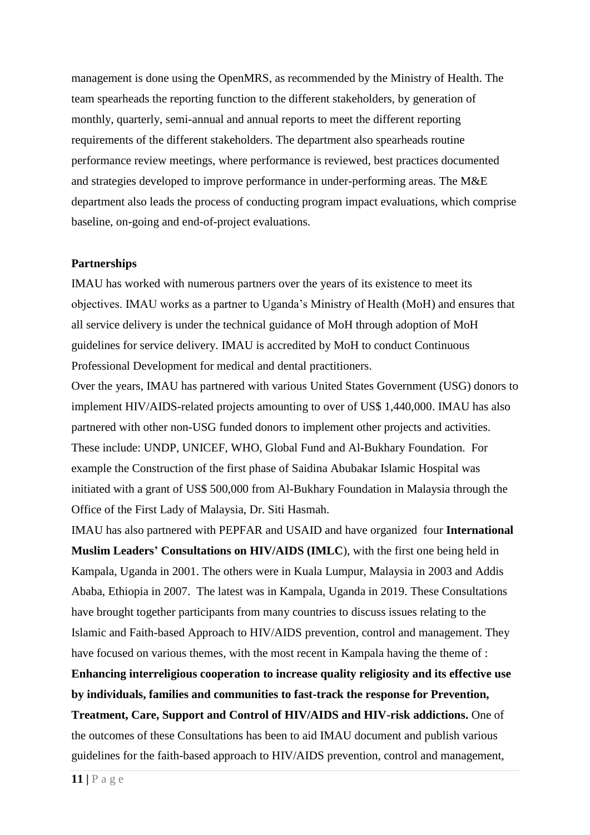management is done using the OpenMRS, as recommended by the Ministry of Health. The team spearheads the reporting function to the different stakeholders, by generation of monthly, quarterly, semi-annual and annual reports to meet the different reporting requirements of the different stakeholders. The department also spearheads routine performance review meetings, where performance is reviewed, best practices documented and strategies developed to improve performance in under-performing areas. The M&E department also leads the process of conducting program impact evaluations, which comprise baseline, on-going and end-of-project evaluations.

#### **Partnerships**

IMAU has worked with numerous partners over the years of its existence to meet its objectives. IMAU works as a partner to Uganda's Ministry of Health (MoH) and ensures that all service delivery is under the technical guidance of MoH through adoption of MoH guidelines for service delivery. IMAU is accredited by MoH to conduct Continuous Professional Development for medical and dental practitioners.

Over the years, IMAU has partnered with various United States Government (USG) donors to implement HIV/AIDS-related projects amounting to over of US\$ 1,440,000. IMAU has also partnered with other non-USG funded donors to implement other projects and activities. These include: UNDP, UNICEF, WHO, Global Fund and Al-Bukhary Foundation. For example the Construction of the first phase of Saidina Abubakar Islamic Hospital was initiated with a grant of US\$ 500,000 from Al-Bukhary Foundation in Malaysia through the Office of the First Lady of Malaysia, Dr. Siti Hasmah.

IMAU has also partnered with PEPFAR and USAID and have organized four **International Muslim Leaders' Consultations on HIV/AIDS (IMLC**), with the first one being held in Kampala, Uganda in 2001. The others were in Kuala Lumpur, Malaysia in 2003 and Addis Ababa, Ethiopia in 2007. The latest was in Kampala, Uganda in 2019. These Consultations have brought together participants from many countries to discuss issues relating to the Islamic and Faith-based Approach to HIV/AIDS prevention, control and management. They have focused on various themes, with the most recent in Kampala having the theme of :

**Enhancing interreligious cooperation to increase quality religiosity and its effective use by individuals, families and communities to fast-track the response for Prevention, Treatment, Care, Support and Control of HIV/AIDS and HIV-risk addictions.** One of the outcomes of these Consultations has been to aid IMAU document and publish various guidelines for the faith-based approach to HIV/AIDS prevention, control and management,